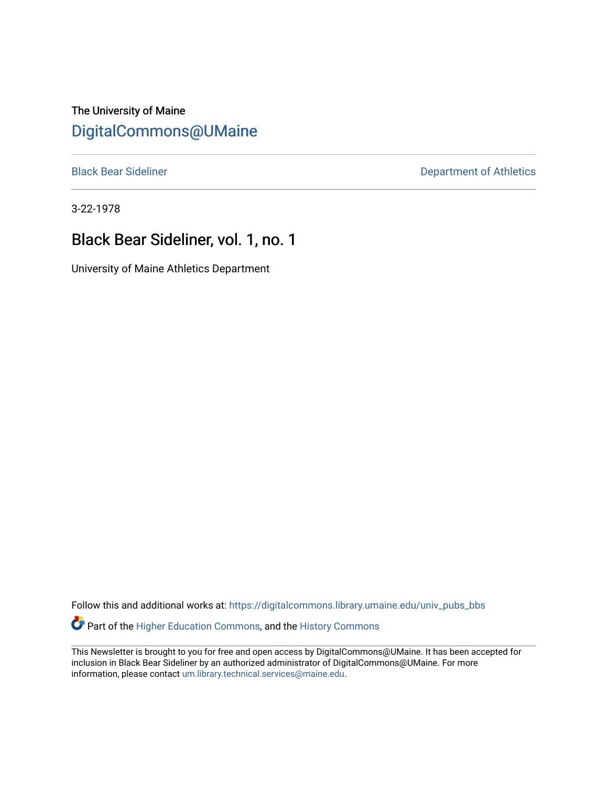The University of Maine [DigitalCommons@UMaine](https://digitalcommons.library.umaine.edu/)

[Black Bear Sideliner](https://digitalcommons.library.umaine.edu/univ_pubs_bbs) **Department of Athletics** 

3-22-1978

### Black Bear Sideliner, vol. 1, no. 1

University of Maine Athletics Department

Follow this and additional works at: [https://digitalcommons.library.umaine.edu/univ\\_pubs\\_bbs](https://digitalcommons.library.umaine.edu/univ_pubs_bbs?utm_source=digitalcommons.library.umaine.edu%2Funiv_pubs_bbs%2F8&utm_medium=PDF&utm_campaign=PDFCoverPages)

Part of the [Higher Education Commons,](http://network.bepress.com/hgg/discipline/1245?utm_source=digitalcommons.library.umaine.edu%2Funiv_pubs_bbs%2F8&utm_medium=PDF&utm_campaign=PDFCoverPages) and the [History Commons](http://network.bepress.com/hgg/discipline/489?utm_source=digitalcommons.library.umaine.edu%2Funiv_pubs_bbs%2F8&utm_medium=PDF&utm_campaign=PDFCoverPages)

This Newsletter is brought to you for free and open access by DigitalCommons@UMaine. It has been accepted for inclusion in Black Bear Sideliner by an authorized administrator of DigitalCommons@UMaine. For more information, please contact [um.library.technical.services@maine.edu](mailto:um.library.technical.services@maine.edu).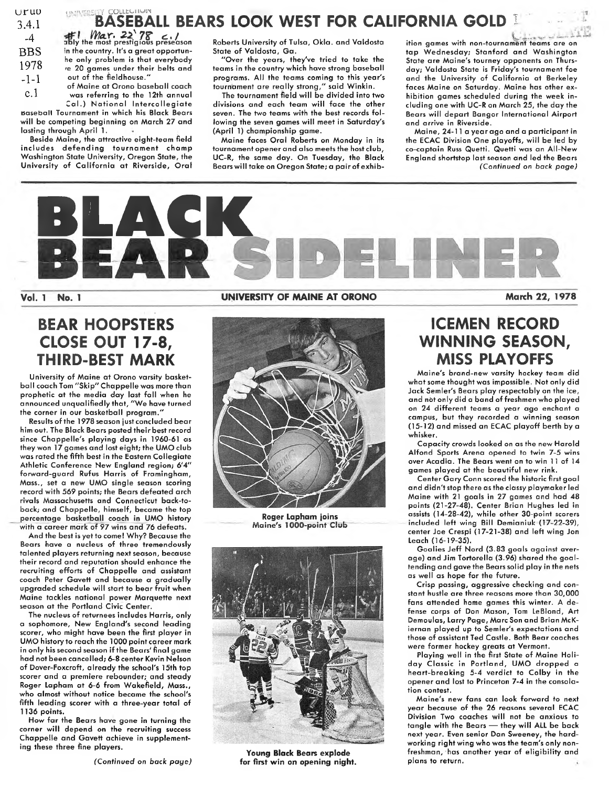| uruo  |
|-------|
| 3.4.1 |
| -4    |
| BBS   |
| 1978  |
| -1-1  |

**the** *Max.* **22'78** *c.*/<br>ably the most prestigious preseason in the country. It's a great opportunhe only problem is that everybody *fe* 20 games under their belts and out of the fieldhouse."

c.l of Maine at Orono baseball coach was referring to the 12th annual

UNIVERSITY COLLECTION

**Baseball** Tournament in which his Black Bears Cal.) National Intercollegiate will be competing beginning on March 27 and lasting through April 1.

Beside Maine, the attractive eight-team field includes defending tournament champ Washington State University, Oregon State, the University of California at Riverside, Oral Roberts University of Tulsa, Okla, and Valdosta State of Valdosta, Ga.

**BASEBALL BEARS LOOK WEST FOR CALIFORNIA GOLD I**

"Over the years, they've tried to take the teams in the country which have strong baseball programs. All the teams coming to this year's tournament are really strong," said Winkin.

The tournament field will be divided into two divisions and each team will face the other seven. The two teams with the best records following the seven games will meet in Saturday's (April 1) championship game.

Maine faces Oral Roberts on Monday in its tournament opener and also meets the host club, UC-R, the same day. On Tuesday, the Black Bearswill take on Oregon State; a pair of exhibition games with non-tournament teams are on tap Wednesday; Stanford and Washington State are Maine's tourney opponents on Thursday; Valdosta State is Friday's tournament foe and the University of California at Berkeley faces Maine on Saturday. Maine has other exhibition games scheduled during the week including one with UC-R on March 25, the day the Bears will depart Bangor International Airport and arrive in Riverside.

Maine, 24-11 a year ago and a participant in the ECAC Division One playoffs, will be led by co-captain Russ Quetti. Quetti was an All-New England shortstop last season and led the Bears *(Continued on back page)*



# **BEAR HOOPSTERS CLOSE OUT 17-8, THIRD-BEST MARK**

University of Maine at Orono varsity basketball coach Tom "Skip" Chappelle was more than prophetic at the media day last fall when he announced unqualifiedly that, "We have turned the corner in our basketball program."

Results of the 1978 season just concluded bear him out. The Black Bears posted their best record since Chappelle's playing days in 1960-61 as they won 17 games and lost eight; the UMO club was rated the fifth best in the Eastern Collegiate Athletic Conference New England region; 6'4" forward-guard Rufus Harris of Framingham, Mass., set a new UMO single season scoring record with 569 points; the Bears defeated arch rivals Massachusetts and Connecticut back-toback; and Chappelle, himself, became the top percentage basketball coach in UMO history with a career mark of 97 wins and 76 defeats.

And the best is yet to come! Why? Because the Bears have a nucleus of three tremendously talented players returning next season, because their record and reputation should enhance the recruiting efforts of Chappelle and assistant coach Peter Gavett and because a gradually upgraded schedule will start to bear fruit when Maine tackles national power Marquette next season at the Portland Civic Center.

The nucleus of returnees includes Harris, only a sophomore, New England's second leading scorer, who might have been the first player in UMO history to reach the 1000 point career mark in only his second season if the Bears' final game had not been cancelled; 6-8 center Kevin Nelson of Dover-Foxcroft, already the school's 15th top scorer and a premiere rebounder; and steady Roger Lapham at 6-6 from Wakefield, Mass., who almost without notice became the school's fifth leading scorer with a three-year total of 1136 points.

How far the Bears have gone in turning the corner will depend on the recruiting success Chappelle and Gavett achieve in supplementing these three fine players.

#### **Vol. <sup>1</sup> No. <sup>1</sup> UNIVERSITY OF MAINE AT ORONO March 22, 1978**



**Roger Lapham joins Maine's 1000-point Club**



**Young Black Bears explode for first win on opening night.**

# **ICEMEN RECORD WINNING SEASON, MISS PLAYOFFS**

Maine's brand-new varsity hockey team did what some thought was impossible. Not only did Jack Semler's Bears play respectably on the ice, and not only did a band of freshmen who played on 24 different teams a year ago enchant a campus, but they recorded a winning season (15-12) and missed an ECAC playoff berth by a whisker.

Capacity crowds looked on as the new Harold Alfond Sports Arena opened to twin 7-5 wins over Acadia. The Bears went on to win <sup>11</sup> of 14 games played at the beautiful new rink.

Center Gary Conn scored the historic first goal and didn't stop there as the classy playmaker led Maine with 21 goals in 27 games and had 48 points (21-27-48). Center Brian Hughes led in assists (14-28-42), while other 30-point scorers included left wing Bill Demianiuk (T7-22-39), center Joe Crespi (17-21-38) and left wing Jon Leach (16-19-35).

Goalies Jeff Nord (3.83 goals against average) and Jim Tortorella (3.96) shared the goaltending and gave the Bears solid play in the nets as well as hope for the future.

Crisp passing, aggressive checking and constant hustle are three reasons more than 30,000 fans attended home games this winter. A defense corps of Don Mason, Tom LeBlond, Art Demoulas, Larry Page, Marc Son and Brian McKiernan played up to Semler's expectations and those of assistant Ted Castle. Both Bear coaches were former hockey greats at Vermont.

Playing well in the first State of Maine Holiday Classic in Portland, UMO dropped a heart-breaking 5-4 verdict to Colby in the opener and lost to Princeton 7-4 in the consolation contest.

Maine's new fans can look forward to next year because of the 26 reasons several ECAC Division Two coaches will not be anxious to tangle with the Bears — they will ALL be back next year. Even senior Dan Sweeney, the hardworking right wing who was the team's only nonfreshman, has another year of eligibility and plans to return.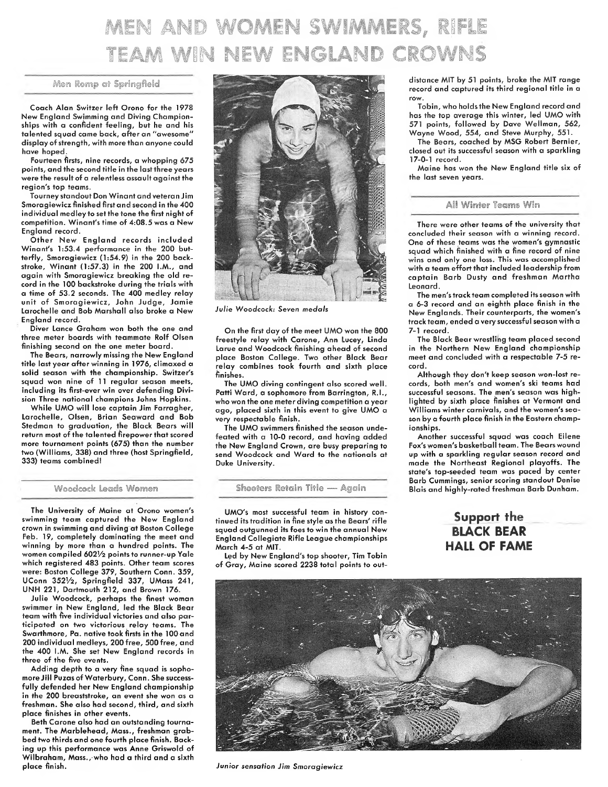# MEN AND WOMEN SWIMMERS, RIFLE TEAM WIN NEW ENGLAND CROWNS

#### Men Remp at Springfield

Coach Alan Switzer left Orono for the 1978 New England Swimming and Diving Championships with a confident feeling, but he and his talented squad came back, after an "awesome" display of strength, with more than anyone could have hoped.

fourteen firsts, nine records, a whopping 675 points, and the second title in the last three years were the result of a relentless assault against the region's top teams.

Tourney standout Don Winant and veteran Jim Smoragiewicz finished firstand second in the 400 individual medley to set the tone the first night of competition. Winant's time of 4:08.5 was a New England record.

Other New England records included Winant's 1:53.4 performance in the 200 butterfly, Smoragiewicz (1:54.9) in the 200 backstroke, Winant (1:57.3) in the 200 I.M., and again with Smoragiewicz breaking the old record in the 100 backstroke during the trials with a time of 53.2 seconds. The 400 medley relay unit of Smoragiewicz, John Judge, Jamie Larochelle and Bob Marshall also broke a New England record.

Diver Lance Graham won both the one and three meter boards with teammate Rolf Olsen finishing second on the one meter board.

The Bears, narrowly missing the New England title last year after winning in 1976, climaxed a solid season with the championship. Switzer's squad won nine of <sup>11</sup> regular season meets, including its first-ever win over defending Division Three national champions Johns Hopkins.

While UMO will lose captain Jim Farragher, Larochelle, Olsen, Brian Seaward and Bob Stedman to graduation, the Black Bears will return most of the talented firepower that scored more tournament points (675) than the number two (Williams, 338) and three (host Springfield, 333) teams combined!

#### Woodcock Leads Women

The University of Maine at Orono women's swimming team captured the New England crown in swimming and diving at Boston College Feb. 19, completely dominating the meet and winning by more than a hundred points. The women compiled 6021/2 points to runner-up Yale which registered 483 points. Other team scores were: Boston College 379, Southern Conn. 359, UConn 3521/2, Springfield 337, UMass 241, UNH 221, Dartmouth 212, and Brown 176.

Julie Woodcock, perhaps the finest woman swimmer in New England, led the Black Bear team with five individual victories and also participated on two victorious relay teams. The Swarthmore, Pa. native took firsts in the lOOand 200 individual medleys, 200free, 500 free, and the 400 I.M. She set New England records in three of the five events.

Adding depth to a very fine squad is sophomore Jill Puzas of Waterbury, Conn. She successfully defended her New England championship in the 200 breaststroke, an event she won as a freshman. She also had second, third, and sixth place finishes in other events.

Beth Carone also had an outstanding tournament. The Marblehead, Mass., freshman grabbed two thirds and one fourth place finish. Backing up this performance was Anne Griswold of Wilbraham, Mass.,-who had a third and a sixth place finish.



*Julie Woodcock: Seven medals*

On the first day of the meet UMO won the 800 freestyle relay with Carone, Ann Lucey, Linda Larue and Woodcock finishing ahead of second place Boston College. Two other Black Bear relay combines took fourth and sixth place finishes.

The UMO diving contingent also scored well. Patti Ward, a sophomore from Barrington, R.I., who won the one meter diving competition a year ago, placed sixth in this event to give UMO a very respectable finish.

The UMO swimmers finished the season undefeated with a 10-0 record, and having added the New England Crown, are busy preparing to send Woodcock and Ward to the nationals at Duke University.

Sheoters Retain Title — Again

UMO's most successful team in history continued its tradition in fine style as the Bears' rifle squad outgunned its foes to win the annual New England Collegiate Rifle League championships March 4-5 at MIT.

Led by New England's top shooter, Tim Tobin of Gray, Maine scored 2238 total points to outdistance MIT by 51 points, broke the MIT range record and captured its third regional title in a row.

Tobin, who holds the New England record and has the top average this winter, led UMO with 571 points, followed by Dave Wellman, 562, Wayne Wood, 554, and Steve Murphy, 551.

The Bears, coached by MSG Robert Bernier, closed out its successful season with a sparkling 17-0-1 record.

Maine has won the New England title six of the last seven years.

#### All Winter Teams Win

There were other teams of the university that concluded their season with a winning record. One of these teams was the women's gymnastic squad which finished with a fine record of nine wins and only one loss. This was accomplished with a team effort that included leadership from captain Barb Dusty and freshman Martha Leonard.

The men's track team completed its season with a 6-3 record and an eighth place finish in the New Englands. Their counterparts, the women's track team, ended a very successful season with a 7-1 record.

The Black Bear wrestling team placed second in the Northern New England championship meet and concluded with a respectable 7-5 record.

Although they don't keep season won-lost records, both men's and women's ski teams had successful seasons. The men's season was highlighted by sixth place finishes at Vermont and Williams winter carnivals, and the women's season by a fourth place finish in the Eastern championships.

Another successful squad was coach Eilene Fox's women's basketball team. The Bears wound up with a sparkling regular season record and made the Northeast Regional playoffs. The state's top-seeded team was paced by center Barb Cummings, senior scoring standout Denise Blais and highly-rated freshman Barb Dunham.

### Support the **BLACK BEAR** HALL OF FAME



*Junior sensation Jim Smoragiewicz*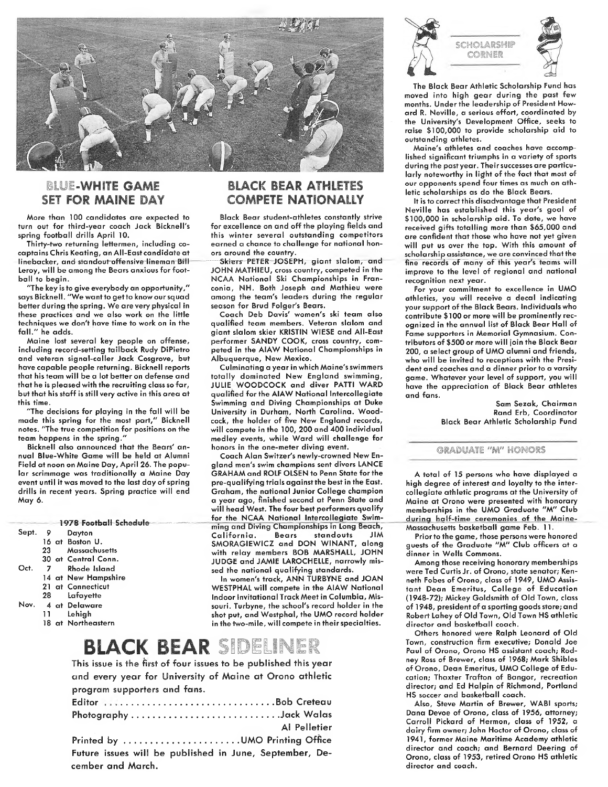

#### BLUE-WHITE GAME SET FOR MAINE DAY

More than 100 candidates are expected to turn out for third-year coach Jack Bicknell's spring football drills April 10.

Thirty-two returning lettermen, including cocaptains Chris Keating, an All-East candidate at linebacker, and standout-offensive lineman Bril Leroy, will be among the Bears anxious for football to begin.

"The key is to give everybody an opportunity," says Bicknell. "We want to get to know our squad better during the spring. We are very physical in these practices and we also work on the little techniques we don't have time to work on in the fall." he adds.

Maine lost several key people on offense, including record-setting tailback Rudy DiPietro and veteran signal-caller Jack Cosgrove, but have capable people returning. Bicknell reports that his team will be a lot better on defense and that he is pleased with the recruiting class so far, but that his staff is still very active in this area at this time.

"The decisions for playing in the fall will be made this spring for the most part," Bicknell notes. "The true competition for positions on the team happens in the spring."

Bicknell also announced that the Bears' annual Blue-White Game will be held at Alumni Field at noon on Maine Day, April 26. The popular scrimmage was traditionally a Maine Day event until it was moved to the last day of spring drills in recent years. Spring practice will end May 6.

|       |                |      | 1978 Football Schedule |
|-------|----------------|------|------------------------|
| Sept. | 9              |      | Dayton                 |
|       |                |      | 16 at Boston U.        |
|       | 23             |      | Massachusetts          |
|       |                |      | 30 at Central Conn.    |
| Oct.  | $\overline{7}$ |      | Rhode Island           |
|       |                |      | 14 at New Hampshire    |
|       |                |      | 21 at Connecticut      |
|       |                | 28 — | Lafayette              |
| Nov.  |                |      | 4 at Delaware          |
|       | 11             |      | Lehigh                 |
|       |                |      | 18 at Northeastern     |

#### BLACK BEAR ATHLETES **COMPETE NATIONALLY**

Black Bear student-athletes constantly strive for excellence on and off the playing fields and this winter several outstanding competitors earned a chance to challenge for national honors around the country.

Skiers PETER JOSEPH, giant slalom, and JOHN MATHIEU, cross country, competed in the NCAA National Ski Championships in Franconia, NH. Both Joseph and Mathieu were among the team's leaders during the regular season for Brud Folger's Bears.

Coach Deb Davis' women's ski team also qualified team members. Veteran slalom and giant slalom skier KRISTIN WIESE and All-East performer SANDY COOK, cross country, competed in the AIAW National Championships in Albuquerque, New Mexico.

Culminating a year in which Maine's swimmers totally dominated New England swimming, JULIE WOODCOCK and diver PATTI WARD qualified for the AIAW National Intercollegiate Swimming and Diving Championships at Duke University in Durham, North Carolina. Woodcock, the holder of five New England records, will compete in the 100, 200 and 400 individual medley events, while Ward will challenge for honors in the one-meter diving event.

Coach Alan Switzer's newly-crowned New England men's swim champions sent divers LANCE GRAHAM and ROLF OLSEN to Penn State for the pre-qualifying trials against the best in the East. Graham, the national Junior College champion a year ago, finished second at Penn State and will head West. The four best performers qualify for th<sup>e</sup> NCAA National Intercollegiate Swimming and Diving Championships in Long Beach, California. Bears standouts JIM SMORAGIEWICZ and DON WINANT, along with relay members BOB MARSHALL, JOHN JUDGE and JAMIE LAROCHELLE, narrowly missed the national qualifying standards.

In women's track, ANN TURBYNE and JOAN WESTPHAL will compete in the AIAW National Indoor Invitational Track Meet in Columbia, Missouri. Turbyne, the school's record holder in the shot put, and Westphal, the UMO record holder in the two-mile, will compete in their specialties.

# BLACK BEAR SIDELINER

This issue is the first of four issues to be published this year and every year for University of Maine at Orono athletic program supporters and fans.

| Editor Bob Creteau                                      |  |
|---------------------------------------------------------|--|
|                                                         |  |
| <b>Example 12 Al Pelletier</b>                          |  |
| Printed by UMO Printing Office                          |  |
| Future issues will be published in June, September, De- |  |
| cember and March.                                       |  |



The Black Bear Athletic Scholarship Fund has moved into high gear during the past few months. Under the leadership of President Howard R. Neville, a serious effort, coordinated by the University's Development Office, seeks to raise \$100,000 to provide scholarship aid to outstanding athletes.

Maine's athletes and coaches have accomplished significant triumphs in a variety of sports during the pastyear. Their successes are particularly noteworthy in light of the fact that most of our opponents spend four times as much on athletic scholarships as do the Black Bears.

It is to correct this disadvantage that President Neville has established this year's goal of \$100,000 in scholarship aid. To date, we have received gifts totalling more than \$65,000 and are confident that those who have not yet given will put us over the top. With this amount of scholarship assistance, we are convinced that the fine records of many of this year's teams will improve to the level of regional and national recognition next year.

For your commitment to excellence in UMO athletics, you will receive a decal indicating your support of the Black Bears. Individuals who contribute \$100 or more will be prominently recognized in the annual list of Black Bear Hall of Fame supporters in Memorial Gymnasium. Contributors of \$500 or more will join the Black Bear 200, a select group of UMO alumni and friends, who will be invited to receptions with the President and coaches and a dinner prior to a varsity game. Whatever your level of support, you will have the appreciation of Black Bear athletes and fans.

> Sam Sezak, Chairman Rand Erb, Coordinator Black Bear Athletic Scholarship Fund

#### ©meUATE *'W* HONORS

A total of 15 persons who have displayed a high degree of interest and loyalty to the intercollegiate athletic programs at the University of Maine at Orono were presented with honorary memberships in the UMO Graduate "M" Club during hgIf-time ceremonies of the Maine-Massachusetts basketball game Feb. 11.

Priorto the game, those persons were honored guests of the Graduate "M" Club officers at a dinner in Wells Commons.

Among those receiving honorary memberships were Ted Curtis Jr. of Orono, state senator; Kenneth Fobes of Orono, class of 1949, UMO Assistant Dean Emeritus, College of Education (1948-72); Mickey Goldsmith of Old Town, class of 1948, president of a sporting goods store; and Robert Lahey of Old Town, Old Town HS athletic director and basketball coach.

Others honored were Ralph Leonard of Old Town, construction firm executive; Donald Joe Paul of Orono, Orono HS assistant coach; Rodney Ross of Brewer, class of 1968; Mark Shibles of Orono, Dean Emeritus, UMO College of Education; Thaxter Trafton of Bangor, recreation director; and Ed Halpin of Richmond, Portland HS soccer and basketball coach.

Also, Steve Martin of Brewer, WABI sports; Dana Devoe of Orono, class of 1956, attorney; Carroll Pickard of Hermon, class of 1952, a dairy firm owner; John Hoctor of Orono, class of 1941, former Maine Maritime Academy athletic director and coach; and Bernard Deering of Orono, class of 1953, retired Orono HS athletic director and coach.